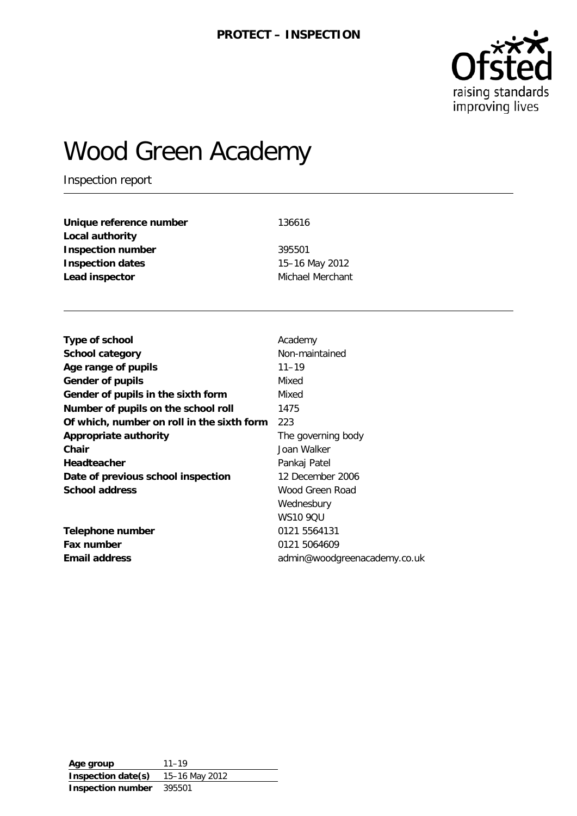

# Wood Green Academy

Inspection report

| 136616           |
|------------------|
|                  |
| 395501           |
| 15-16 May 2012   |
| Michael Merchant |
|                  |

| Type of school                             | Academy                      |
|--------------------------------------------|------------------------------|
| <b>School category</b>                     | Non-maintained               |
| Age range of pupils                        | $11 - 19$                    |
| <b>Gender of pupils</b>                    | Mixed                        |
| Gender of pupils in the sixth form         | Mixed                        |
| Number of pupils on the school roll        | 1475                         |
| Of which, number on roll in the sixth form | 223                          |
| <b>Appropriate authority</b>               | The governing body           |
| Chair                                      | Joan Walker                  |
| <b>Headteacher</b>                         | Pankaj Patel                 |
| Date of previous school inspection         | 12 December 2006             |
| <b>School address</b>                      | Wood Green Road              |
|                                            | Wednesbury                   |
|                                            | <b>WS10 90U</b>              |
| Telephone number                           | 0121 5564131                 |
| Fax number                                 | 0121 5064609                 |
| <b>Email address</b>                       | admin@woodgreenacademy.co.uk |
|                                            |                              |

**Age group** 11–19 **Inspection date(s)** 15–16 May 2012 **Inspection number** 395501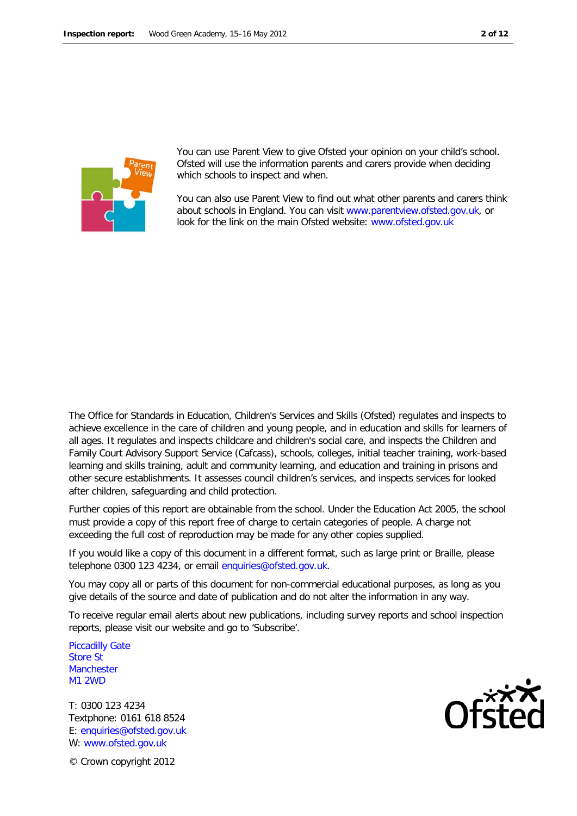



You can use Parent View to give Ofsted your opinion on your child's school. Ofsted will use the information parents and carers provide when deciding which schools to inspect and when.

You can also use Parent View to find out what other parents and carers think about schools in England. You can visit [www.parentview.ofsted.gov.uk,](http://www.parentview.ofsted.gov.uk/) or look for the link on the main Ofsted website: [www.ofsted.gov.uk](http://www.ofsted.gov.uk/)

The Office for Standards in Education, Children's Services and Skills (Ofsted) regulates and inspects to achieve excellence in the care of children and young people, and in education and skills for learners of all ages. It regulates and inspects childcare and children's social care, and inspects the Children and Family Court Advisory Support Service (Cafcass), schools, colleges, initial teacher training, work-based learning and skills training, adult and community learning, and education and training in prisons and other secure establishments. It assesses council children's services, and inspects services for looked after children, safeguarding and child protection.

Further copies of this report are obtainable from the school. Under the Education Act 2005, the school must provide a copy of this report free of charge to certain categories of people. A charge not exceeding the full cost of reproduction may be made for any other copies supplied.

If you would like a copy of this document in a different format, such as large print or Braille, please telephone 0300 123 4234, or email enquiries@ofsted.gov.uk.

You may copy all or parts of this document for non-commercial educational purposes, as long as you give details of the source and date of publication and do not alter the information in any way.

To receive regular email alerts about new publications, including survey reports and school inspection reports, please visit our website and go to 'Subscribe'.

Piccadilly Gate Store St **Manchester** M1 2WD

T: 0300 123 4234 Textphone: 0161 618 8524 E: enquiries@ofsted.gov.uk W: [www.ofsted.gov.uk](http://www.ofsted.gov.uk/)

© Crown copyright 2012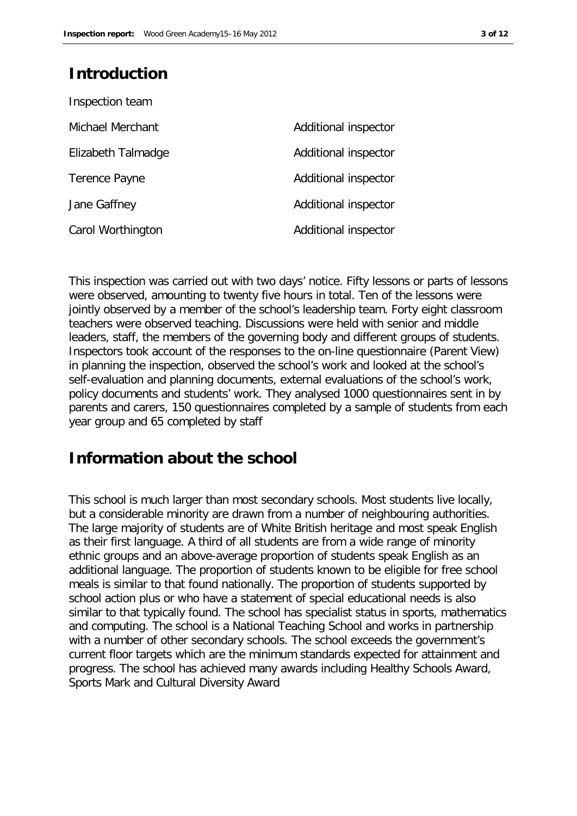## **Introduction**

| Inspection team    |                      |
|--------------------|----------------------|
| Michael Merchant   | Additional inspector |
| Elizabeth Talmadge | Additional inspector |
| Terence Payne      | Additional inspector |
| Jane Gaffney       | Additional inspector |
| Carol Worthington  | Additional inspector |

This inspection was carried out with two days' notice. Fifty lessons or parts of lessons were observed, amounting to twenty five hours in total. Ten of the lessons were jointly observed by a member of the school's leadership team. Forty eight classroom teachers were observed teaching. Discussions were held with senior and middle leaders, staff, the members of the governing body and different groups of students. Inspectors took account of the responses to the on-line questionnaire (Parent View) in planning the inspection, observed the school's work and looked at the school's self-evaluation and planning documents, external evaluations of the school's work, policy documents and students' work. They analysed 1000 questionnaires sent in by parents and carers, 150 questionnaires completed by a sample of students from each year group and 65 completed by staff

## **Information about the school**

This school is much larger than most secondary schools. Most students live locally, but a considerable minority are drawn from a number of neighbouring authorities. The large majority of students are of White British heritage and most speak English as their first language. A third of all students are from a wide range of minority ethnic groups and an above-average proportion of students speak English as an additional language. The proportion of students known to be eligible for free school meals is similar to that found nationally. The proportion of students supported by school action plus or who have a statement of special educational needs is also similar to that typically found. The school has specialist status in sports, mathematics and computing. The school is a National Teaching School and works in partnership with a number of other secondary schools. The school exceeds the government's current floor targets which are the minimum standards expected for attainment and progress. The school has achieved many awards including Healthy Schools Award, Sports Mark and Cultural Diversity Award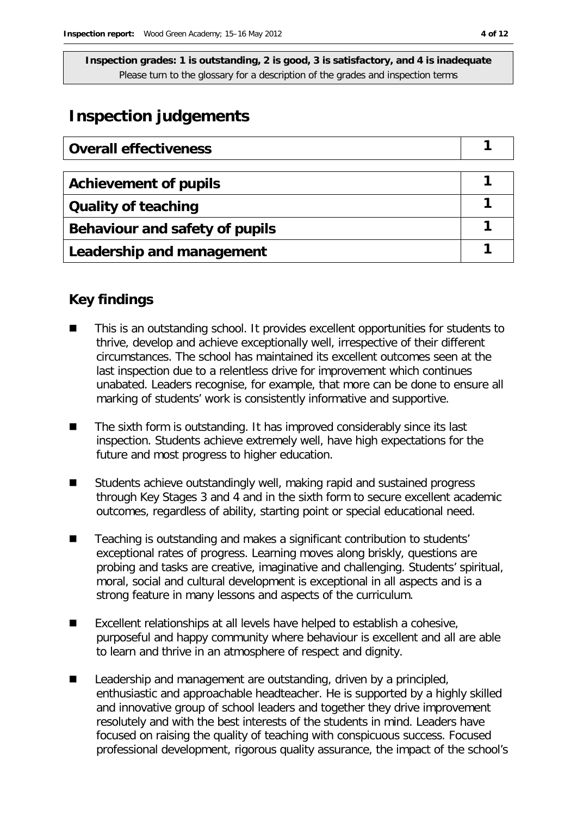## **Inspection judgements**

| <b>Overall effectiveness</b>   |  |
|--------------------------------|--|
|                                |  |
| <b>Achievement of pupils</b>   |  |
| <b>Quality of teaching</b>     |  |
| Behaviour and safety of pupils |  |
| Leadership and management      |  |

## **Key findings**

- This is an outstanding school. It provides excellent opportunities for students to thrive, develop and achieve exceptionally well, irrespective of their different circumstances. The school has maintained its excellent outcomes seen at the last inspection due to a relentless drive for improvement which continues unabated. Leaders recognise, for example, that more can be done to ensure all marking of students' work is consistently informative and supportive.
- The sixth form is outstanding. It has improved considerably since its last inspection. Students achieve extremely well, have high expectations for the future and most progress to higher education.
- Students achieve outstandingly well, making rapid and sustained progress through Key Stages 3 and 4 and in the sixth form to secure excellent academic outcomes, regardless of ability, starting point or special educational need.
- Teaching is outstanding and makes a significant contribution to students' exceptional rates of progress. Learning moves along briskly, questions are probing and tasks are creative, imaginative and challenging. Students' spiritual, moral, social and cultural development is exceptional in all aspects and is a strong feature in many lessons and aspects of the curriculum.
- Excellent relationships at all levels have helped to establish a cohesive, purposeful and happy community where behaviour is excellent and all are able to learn and thrive in an atmosphere of respect and dignity.
- Leadership and management are outstanding, driven by a principled, enthusiastic and approachable headteacher. He is supported by a highly skilled and innovative group of school leaders and together they drive improvement resolutely and with the best interests of the students in mind. Leaders have focused on raising the quality of teaching with conspicuous success. Focused professional development, rigorous quality assurance, the impact of the school's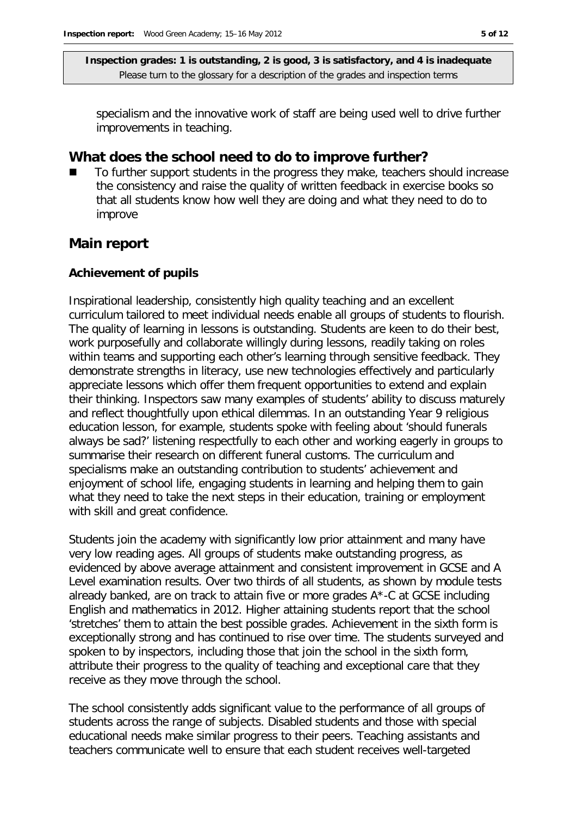specialism and the innovative work of staff are being used well to drive further improvements in teaching.

### **What does the school need to do to improve further?**

 To further support students in the progress they make, teachers should increase the consistency and raise the quality of written feedback in exercise books so that all students know how well they are doing and what they need to do to improve

### **Main report**

#### **Achievement of pupils**

Inspirational leadership, consistently high quality teaching and an excellent curriculum tailored to meet individual needs enable all groups of students to flourish. The quality of learning in lessons is outstanding. Students are keen to do their best, work purposefully and collaborate willingly during lessons, readily taking on roles within teams and supporting each other's learning through sensitive feedback. They demonstrate strengths in literacy, use new technologies effectively and particularly appreciate lessons which offer them frequent opportunities to extend and explain their thinking. Inspectors saw many examples of students' ability to discuss maturely and reflect thoughtfully upon ethical dilemmas. In an outstanding Year 9 religious education lesson, for example, students spoke with feeling about 'should funerals always be sad?' listening respectfully to each other and working eagerly in groups to summarise their research on different funeral customs. The curriculum and specialisms make an outstanding contribution to students' achievement and enjoyment of school life, engaging students in learning and helping them to gain what they need to take the next steps in their education, training or employment with skill and great confidence.

Students join the academy with significantly low prior attainment and many have very low reading ages. All groups of students make outstanding progress, as evidenced by above average attainment and consistent improvement in GCSE and A Level examination results. Over two thirds of all students, as shown by module tests already banked, are on track to attain five or more grades A\*-C at GCSE including English and mathematics in 2012. Higher attaining students report that the school 'stretches' them to attain the best possible grades. Achievement in the sixth form is exceptionally strong and has continued to rise over time. The students surveyed and spoken to by inspectors, including those that join the school in the sixth form, attribute their progress to the quality of teaching and exceptional care that they receive as they move through the school.

The school consistently adds significant value to the performance of all groups of students across the range of subjects. Disabled students and those with special educational needs make similar progress to their peers. Teaching assistants and teachers communicate well to ensure that each student receives well-targeted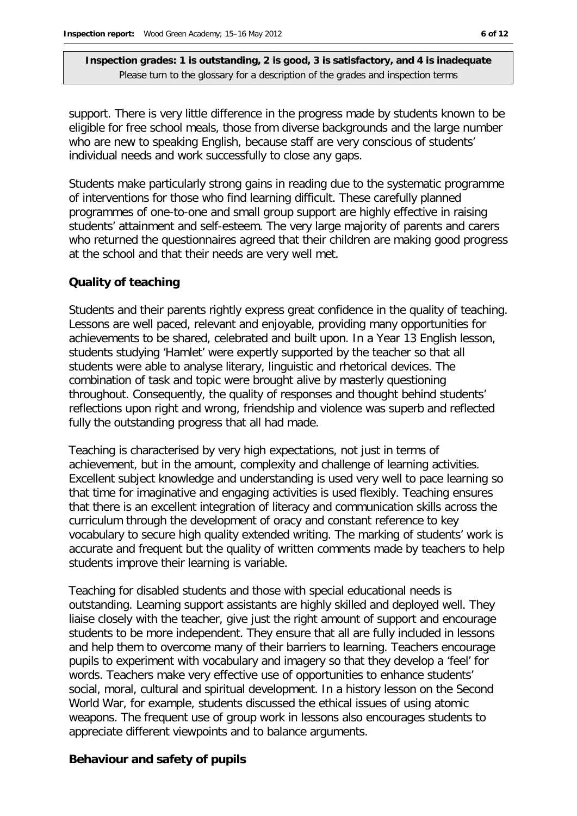support. There is very little difference in the progress made by students known to be eligible for free school meals, those from diverse backgrounds and the large number who are new to speaking English, because staff are very conscious of students' individual needs and work successfully to close any gaps.

Students make particularly strong gains in reading due to the systematic programme of interventions for those who find learning difficult. These carefully planned programmes of one-to-one and small group support are highly effective in raising students' attainment and self-esteem. The very large majority of parents and carers who returned the questionnaires agreed that their children are making good progress at the school and that their needs are very well met.

#### **Quality of teaching**

Students and their parents rightly express great confidence in the quality of teaching. Lessons are well paced, relevant and enjoyable, providing many opportunities for achievements to be shared, celebrated and built upon. In a Year 13 English lesson, students studying 'Hamlet' were expertly supported by the teacher so that all students were able to analyse literary, linguistic and rhetorical devices. The combination of task and topic were brought alive by masterly questioning throughout. Consequently, the quality of responses and thought behind students' reflections upon right and wrong, friendship and violence was superb and reflected fully the outstanding progress that all had made.

Teaching is characterised by very high expectations, not just in terms of achievement, but in the amount, complexity and challenge of learning activities. Excellent subject knowledge and understanding is used very well to pace learning so that time for imaginative and engaging activities is used flexibly. Teaching ensures that there is an excellent integration of literacy and communication skills across the curriculum through the development of oracy and constant reference to key vocabulary to secure high quality extended writing. The marking of students' work is accurate and frequent but the quality of written comments made by teachers to help students improve their learning is variable.

Teaching for disabled students and those with special educational needs is outstanding. Learning support assistants are highly skilled and deployed well. They liaise closely with the teacher, give just the right amount of support and encourage students to be more independent. They ensure that all are fully included in lessons and help them to overcome many of their barriers to learning. Teachers encourage pupils to experiment with vocabulary and imagery so that they develop a 'feel' for words. Teachers make very effective use of opportunities to enhance students' social, moral, cultural and spiritual development. In a history lesson on the Second World War, for example, students discussed the ethical issues of using atomic weapons. The frequent use of group work in lessons also encourages students to appreciate different viewpoints and to balance arguments.

#### **Behaviour and safety of pupils**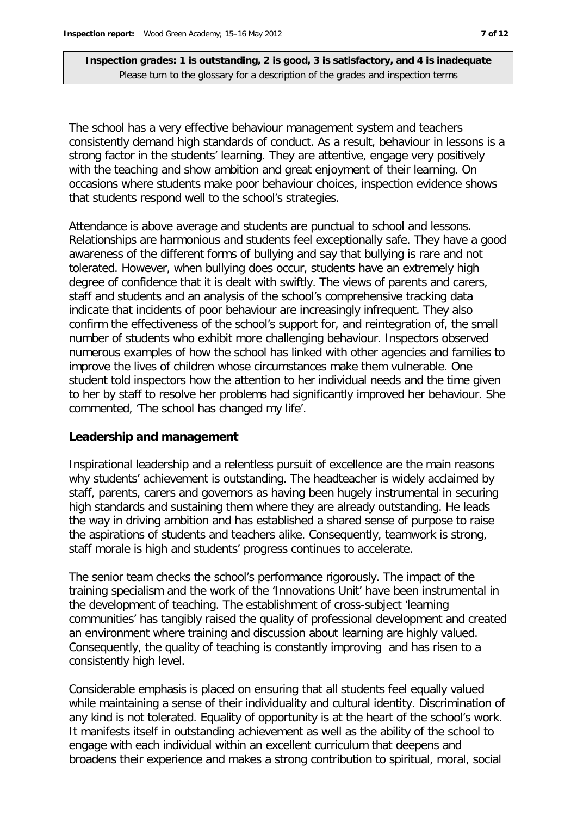The school has a very effective behaviour management system and teachers consistently demand high standards of conduct. As a result, behaviour in lessons is a strong factor in the students' learning. They are attentive, engage very positively with the teaching and show ambition and great enjoyment of their learning. On occasions where students make poor behaviour choices, inspection evidence shows that students respond well to the school's strategies.

Attendance is above average and students are punctual to school and lessons. Relationships are harmonious and students feel exceptionally safe. They have a good awareness of the different forms of bullying and say that bullying is rare and not tolerated. However, when bullying does occur, students have an extremely high degree of confidence that it is dealt with swiftly. The views of parents and carers, staff and students and an analysis of the school's comprehensive tracking data indicate that incidents of poor behaviour are increasingly infrequent. They also confirm the effectiveness of the school's support for, and reintegration of, the small number of students who exhibit more challenging behaviour. Inspectors observed numerous examples of how the school has linked with other agencies and families to improve the lives of children whose circumstances make them vulnerable. One student told inspectors how the attention to her individual needs and the time given to her by staff to resolve her problems had significantly improved her behaviour. She commented, 'The school has changed my life'.

#### **Leadership and management**

Inspirational leadership and a relentless pursuit of excellence are the main reasons why students' achievement is outstanding. The headteacher is widely acclaimed by staff, parents, carers and governors as having been hugely instrumental in securing high standards and sustaining them where they are already outstanding. He leads the way in driving ambition and has established a shared sense of purpose to raise the aspirations of students and teachers alike. Consequently, teamwork is strong, staff morale is high and students' progress continues to accelerate.

The senior team checks the school's performance rigorously. The impact of the training specialism and the work of the 'Innovations Unit' have been instrumental in the development of teaching. The establishment of cross-subject 'learning communities' has tangibly raised the quality of professional development and created an environment where training and discussion about learning are highly valued. Consequently, the quality of teaching is constantly improving and has risen to a consistently high level.

Considerable emphasis is placed on ensuring that all students feel equally valued while maintaining a sense of their individuality and cultural identity. Discrimination of any kind is not tolerated. Equality of opportunity is at the heart of the school's work. It manifests itself in outstanding achievement as well as the ability of the school to engage with each individual within an excellent curriculum that deepens and broadens their experience and makes a strong contribution to spiritual, moral, social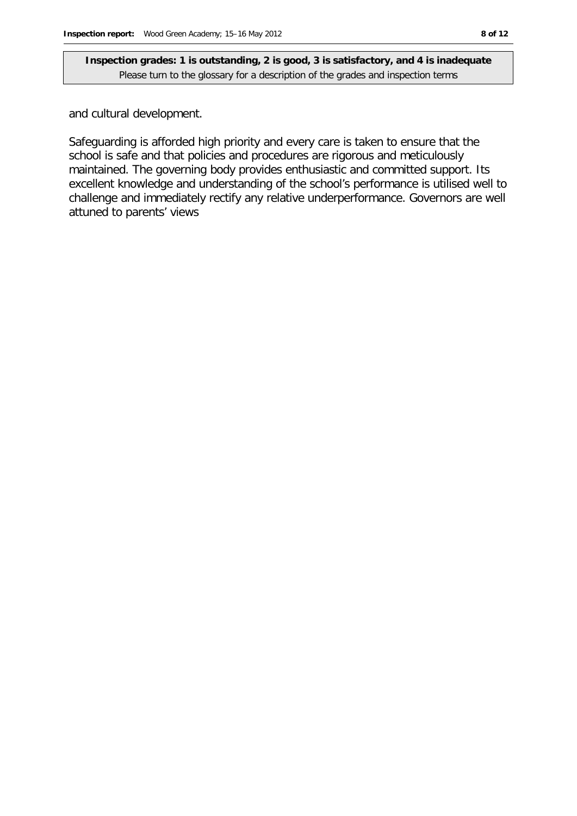and cultural development.

Safeguarding is afforded high priority and every care is taken to ensure that the school is safe and that policies and procedures are rigorous and meticulously maintained. The governing body provides enthusiastic and committed support. Its excellent knowledge and understanding of the school's performance is utilised well to challenge and immediately rectify any relative underperformance. Governors are well attuned to parents' views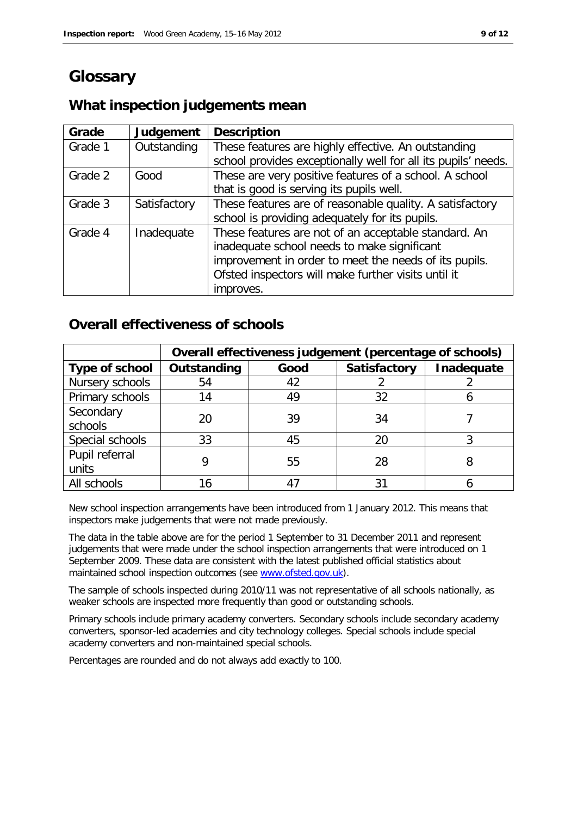## **Glossary**

## **What inspection judgements mean**

| Grade   | Judgement    | <b>Description</b>                                            |
|---------|--------------|---------------------------------------------------------------|
| Grade 1 | Outstanding  | These features are highly effective. An outstanding           |
|         |              | school provides exceptionally well for all its pupils' needs. |
| Grade 2 | Good         | These are very positive features of a school. A school        |
|         |              | that is good is serving its pupils well.                      |
| Grade 3 | Satisfactory | These features are of reasonable quality. A satisfactory      |
|         |              | school is providing adequately for its pupils.                |
| Grade 4 | Inadequate   | These features are not of an acceptable standard. An          |
|         |              | inadequate school needs to make significant                   |
|         |              | improvement in order to meet the needs of its pupils.         |
|         |              | Ofsted inspectors will make further visits until it           |
|         |              | improves.                                                     |

## **Overall effectiveness of schools**

|                 | Overall effectiveness judgement (percentage of schools) |      |                     |            |
|-----------------|---------------------------------------------------------|------|---------------------|------------|
| Type of school  | Outstanding                                             | Good | <b>Satisfactory</b> | Inadequate |
| Nursery schools | 54                                                      | 42   |                     |            |
| Primary schools | 14                                                      | 49   | 32                  |            |
| Secondary       | 20                                                      | 39   | 34                  |            |
| schools         |                                                         |      |                     |            |
| Special schools | 33                                                      | 45   | 20                  |            |
| Pupil referral  |                                                         | 55   | 28                  |            |
| units           |                                                         |      |                     |            |
| All schools     | 16                                                      |      | 31                  |            |

New school inspection arrangements have been introduced from 1 January 2012. This means that inspectors make judgements that were not made previously.

The data in the table above are for the period 1 September to 31 December 2011 and represent judgements that were made under the school inspection arrangements that were introduced on 1 September 2009. These data are consistent with the latest published official statistics about maintained school inspection outcomes (see [www.ofsted.gov.uk\)](http://www.ofsted.gov.uk/).

The sample of schools inspected during 2010/11 was not representative of all schools nationally, as weaker schools are inspected more frequently than good or outstanding schools.

Primary schools include primary academy converters. Secondary schools include secondary academy converters, sponsor-led academies and city technology colleges. Special schools include special academy converters and non-maintained special schools.

Percentages are rounded and do not always add exactly to 100.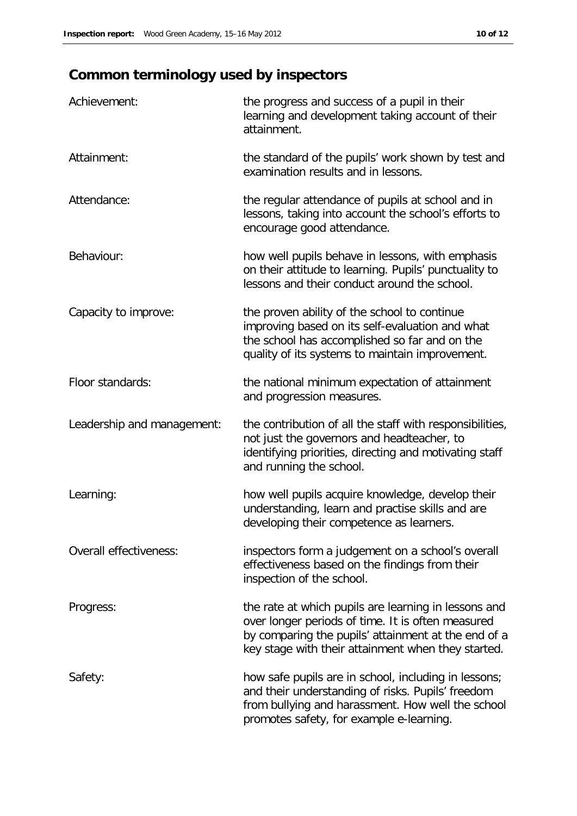## **Common terminology used by inspectors**

| Achievement:               | the progress and success of a pupil in their<br>learning and development taking account of their<br>attainment.                                                                                                        |
|----------------------------|------------------------------------------------------------------------------------------------------------------------------------------------------------------------------------------------------------------------|
| Attainment:                | the standard of the pupils' work shown by test and<br>examination results and in lessons.                                                                                                                              |
| Attendance:                | the regular attendance of pupils at school and in<br>lessons, taking into account the school's efforts to<br>encourage good attendance.                                                                                |
| Behaviour:                 | how well pupils behave in lessons, with emphasis<br>on their attitude to learning. Pupils' punctuality to<br>lessons and their conduct around the school.                                                              |
| Capacity to improve:       | the proven ability of the school to continue<br>improving based on its self-evaluation and what<br>the school has accomplished so far and on the<br>quality of its systems to maintain improvement.                    |
| Floor standards:           | the national minimum expectation of attainment<br>and progression measures.                                                                                                                                            |
| Leadership and management: | the contribution of all the staff with responsibilities,<br>not just the governors and headteacher, to<br>identifying priorities, directing and motivating staff<br>and running the school.                            |
| Learning:                  | how well pupils acquire knowledge, develop their<br>understanding, learn and practise skills and are<br>developing their competence as learners.                                                                       |
| Overall effectiveness:     | inspectors form a judgement on a school's overall<br>effectiveness based on the findings from their<br>inspection of the school.                                                                                       |
| Progress:                  | the rate at which pupils are learning in lessons and<br>over longer periods of time. It is often measured<br>by comparing the pupils' attainment at the end of a<br>key stage with their attainment when they started. |
| Safety:                    | how safe pupils are in school, including in lessons;<br>and their understanding of risks. Pupils' freedom<br>from bullying and harassment. How well the school<br>promotes safety, for example e-learning.             |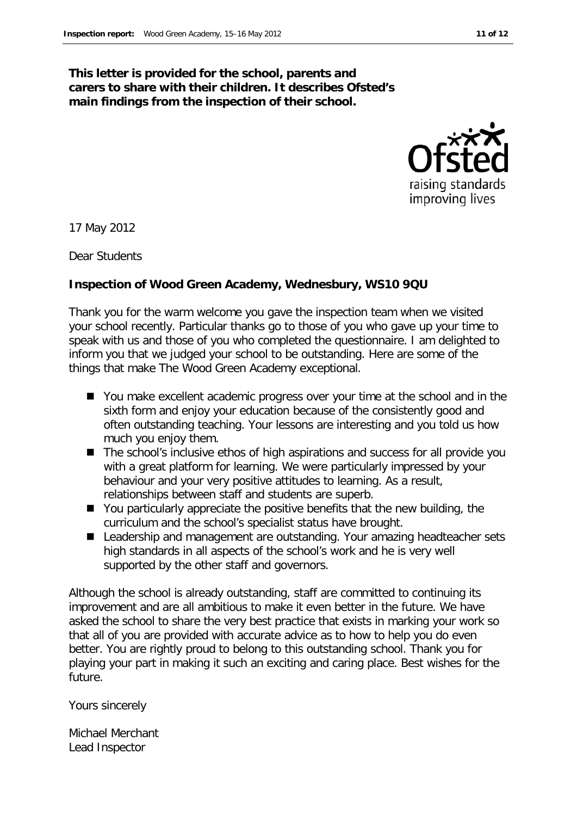#### **This letter is provided for the school, parents and carers to share with their children. It describes Ofsted's main findings from the inspection of their school.**



17 May 2012

Dear Students

#### **Inspection of Wood Green Academy, Wednesbury, WS10 9QU**

Thank you for the warm welcome you gave the inspection team when we visited your school recently. Particular thanks go to those of you who gave up your time to speak with us and those of you who completed the questionnaire. I am delighted to inform you that we judged your school to be outstanding. Here are some of the things that make The Wood Green Academy exceptional.

- You make excellent academic progress over your time at the school and in the sixth form and enjoy your education because of the consistently good and often outstanding teaching. Your lessons are interesting and you told us how much you enjoy them.
- The school's inclusive ethos of high aspirations and success for all provide you with a great platform for learning. We were particularly impressed by your behaviour and your very positive attitudes to learning. As a result, relationships between staff and students are superb.
- You particularly appreciate the positive benefits that the new building, the curriculum and the school's specialist status have brought.
- Leadership and management are outstanding. Your amazing headteacher sets high standards in all aspects of the school's work and he is very well supported by the other staff and governors.

Although the school is already outstanding, staff are committed to continuing its improvement and are all ambitious to make it even better in the future. We have asked the school to share the very best practice that exists in marking your work so that all of you are provided with accurate advice as to how to help you do even better. You are rightly proud to belong to this outstanding school. Thank you for playing your part in making it such an exciting and caring place. Best wishes for the future.

Yours sincerely

Michael Merchant Lead Inspector